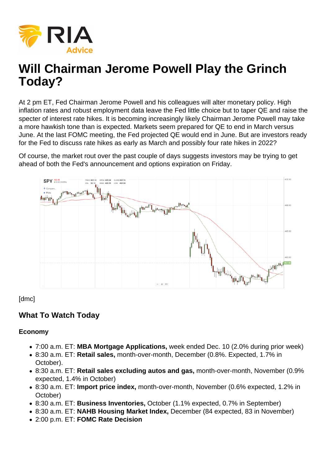At 2 pm ET, Fed Chairman Jerome Powell and his colleagues will alter monetary policy. High inflation rates and robust employment data leave the Fed little choice but to taper QE and raise the specter of interest rate hikes. It is becoming increasingly likely Chairman Jerome Powell may take a more hawkish tone than is expected. Markets seem prepared for QE to end in March versus June. At the last FOMC meeting, the Fed projected QE would end in June. But are investors ready for the Fed to discuss rate hikes as early as March and possibly four rate hikes in 2022?

Of course, the market rout over the past couple of days suggests investors may be trying to get ahead of both the Fed's announcement and options expiration on Friday.

[dmc]

What To Watch Today

Economy

- 7:00 a.m. ET: MBA Mortgage Applications, week ended Dec. 10 (2.0% during prior week)
- 8:30 a.m. ET: Retail sales, month-over-month, December (0.8%. Expected, 1.7% in October).
- 8:30 a.m. ET: Retail sales excluding autos and gas, month-over-month, November (0.9% expected, 1.4% in October)
- 8:30 a.m. ET: Import price index, month-over-month, November (0.6% expected, 1.2% in October)
- 8:30 a.m. ET: Business Inventories, October (1.1% expected, 0.7% in September)
- 8:30 a.m. ET: NAHB Housing Market Index, December (84 expected, 83 in November)
- 2:00 p.m. ET: FOMC Rate Decision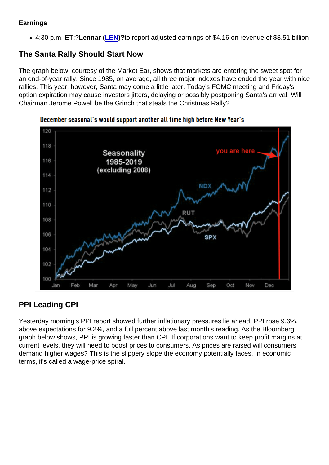### Earnings

4:30 p.m. ET:?Lennar ( [LEN](https://finance.yahoo.com/quote/LEN?p=LEN&.tsrc=fin-srch))?to report adjusted earnings of \$4.16 on revenue of \$8.51 billion

### The Santa Rally Should Start Now

The graph below, courtesy of the Market Ear, shows that markets are entering the sweet spot for an end-of-year rally. Since 1985, on average, all three major indexes have ended the year with nice rallies. This year, however, Santa may come a little later. Today's FOMC meeting and Friday's option expiration may cause investors jitters, delaying or possibly postponing Santa's arrival. Will Chairman Jerome Powell be the Grinch that steals the Christmas Rally?

# PPI Leading CPI

Yesterday morning's PPI report showed further inflationary pressures lie ahead. PPI rose 9.6%, above expectations for 9.2%, and a full percent above last month's reading. As the Bloomberg graph below shows, PPI is growing faster than CPI. If corporations want to keep profit margins at current levels, they will need to boost prices to consumers. As prices are raised will consumers demand higher wages? This is the slippery slope the economy potentially faces. In economic terms, it's called a wage-price spiral.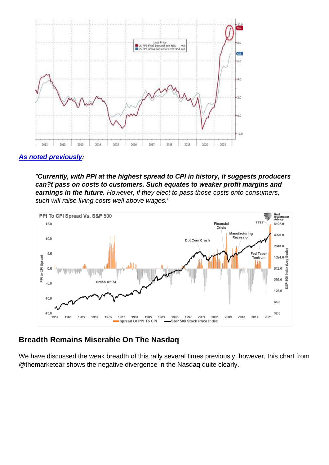[As noted previously](https://realinvestmentadvice.com/did-the-fed-just-set-the-stock-market-up-for-a-crash-11-05-21/) :

"Currently, with PPI at the highest spread to CPI in history, it suggests producers can?t pass on costs to customers. Such equates to weaker profit margins and earnings in the future. However, if they elect to pass those costs onto consumers, such will raise living costs well above wages."

#### Breadth Remains Miserable On The Nasdaq

We have discussed the weak breadth of this rally several times previously, however, this chart from @themarketear shows the negative divergence in the Nasdaq quite clearly.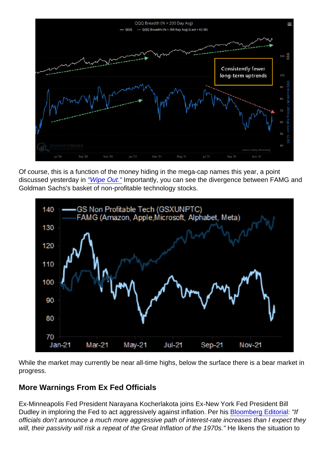Of course, this is a function of the money hiding in the mega-cap names this year, a point discussed yesterday in ["Wipe Out."](https://realinvestmentadvice.com/wipe-out-below-the-calm-surface-of-the-bull-market/) Importantly, you can see the divergence between FAMG and Goldman Sachs's basket of non-profitable technology stocks.

While the market may currently be near all-time highs, below the surface there is a bear market in progress.

# More Warnings From Ex Fed Officials

Ex-Minneapolis Fed President Narayana Kocherlakota joins Ex-New York Fed President Bill Dudley in imploring the Fed to act aggressively against inflation. Per his [Bloomberg Editorial:](https://www.bloomberg.com/opinion/articles/2021-12-14/the-federal-reserve-faces-a-troubling-1965-inflation-parallel) "If officials don't announce a much more aggressive path of interest-rate increases than I expect they will, their passivity will risk a repeat of the Great Inflation of the 1970s." He likens the situation to